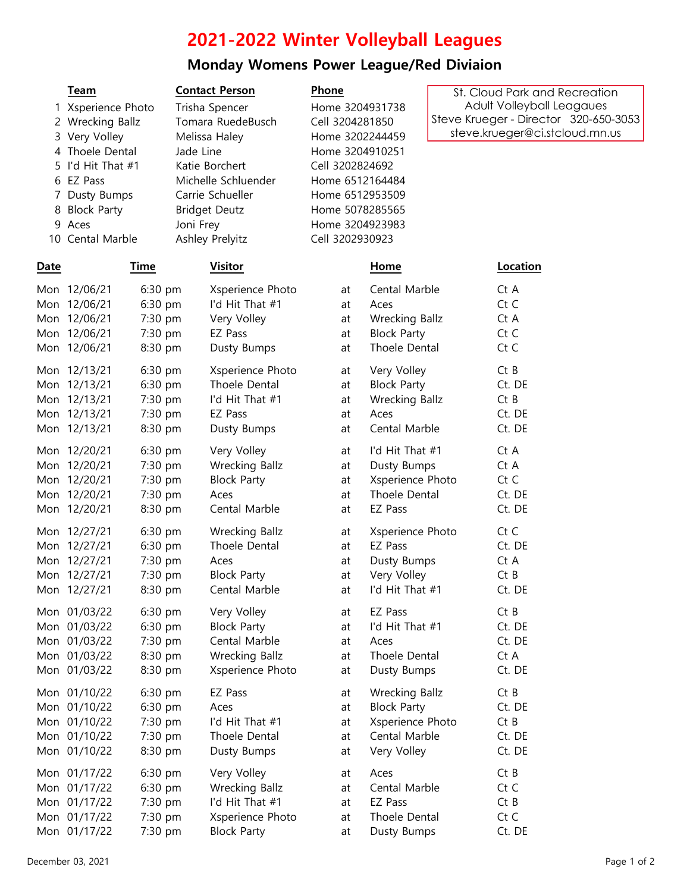## 2021-2022 Winter Volleyball Leagues

## Monday Womens Power League/Red Diviaion

|      | Team               |         | <b>Contact Person</b> |                       | Phone           |                       | St. Cloud Park and Recreation         |          |  |  |
|------|--------------------|---------|-----------------------|-----------------------|-----------------|-----------------------|---------------------------------------|----------|--|--|
|      | 1 Xsperience Photo |         | Trisha Spencer        |                       | Home 3204931738 |                       | Adult Volleyball Leagaues             |          |  |  |
|      | 2 Wrecking Ballz   |         | Tomara RuedeBusch     |                       | Cell 3204281850 |                       | Steve Krueger - Director 320-650-3053 |          |  |  |
|      | 3 Very Volley      |         | Melissa Haley         |                       | Home 3202244459 |                       | steve.krueger@ci.stcloud.mn.us        |          |  |  |
|      | 4 Thoele Dental    |         | Jade Line             |                       | Home 3204910251 |                       |                                       |          |  |  |
|      | 5 I'd Hit That #1  |         | Katie Borchert        |                       | Cell 3202824692 |                       |                                       |          |  |  |
|      | 6 EZ Pass          |         | Michelle Schluender   |                       | Home 6512164484 |                       |                                       |          |  |  |
|      | Dusty Bumps        |         | Carrie Schueller      |                       | Home 6512953509 |                       |                                       |          |  |  |
| 8    | <b>Block Party</b> |         | <b>Bridget Deutz</b>  |                       | Home 5078285565 |                       |                                       |          |  |  |
| 9    | Aces               |         | Joni Frey             |                       | Home 3204923983 |                       |                                       |          |  |  |
|      | 10 Cental Marble   |         | Ashley Prelyitz       |                       | Cell 3202930923 |                       |                                       |          |  |  |
|      |                    |         |                       |                       |                 |                       |                                       |          |  |  |
| Date |                    | Time    |                       | <b>Visitor</b>        |                 | Home                  |                                       | Location |  |  |
|      | Mon 12/06/21       | 6:30 pm |                       | Xsperience Photo      | at              | Cental Marble         |                                       | Ct A     |  |  |
|      | Mon 12/06/21       | 6:30 pm |                       | I'd Hit That #1       | at              | Aces                  |                                       | Ct C     |  |  |
|      | Mon 12/06/21       | 7:30 pm |                       | Very Volley           | at              | <b>Wrecking Ballz</b> |                                       | Ct A     |  |  |
|      | Mon 12/06/21       | 7:30 pm |                       | EZ Pass               | at              | <b>Block Party</b>    |                                       | Ct C     |  |  |
|      | Mon 12/06/21       | 8:30 pm |                       | Dusty Bumps           | at              | Thoele Dental         |                                       | Ct C     |  |  |
|      | Mon 12/13/21       | 6:30 pm |                       | Xsperience Photo      | at              | Very Volley           |                                       | Ct B     |  |  |
|      | Mon 12/13/21       | 6:30 pm |                       | Thoele Dental         | at              | <b>Block Party</b>    |                                       | Ct. DE   |  |  |
|      | Mon 12/13/21       | 7:30 pm |                       | I'd Hit That #1       | at              | <b>Wrecking Ballz</b> |                                       | CtB      |  |  |
|      | Mon 12/13/21       | 7:30 pm |                       | EZ Pass               | at              | Aces                  |                                       | Ct. DE   |  |  |
|      | Mon 12/13/21       | 8:30 pm |                       | Dusty Bumps           | at              | Cental Marble         |                                       | Ct. DE   |  |  |
|      | Mon 12/20/21       | 6:30 pm |                       | Very Volley           | at              | I'd Hit That #1       |                                       | Ct A     |  |  |
|      | Mon 12/20/21       | 7:30 pm |                       | <b>Wrecking Ballz</b> | at              | Dusty Bumps           |                                       | Ct A     |  |  |
|      | Mon 12/20/21       | 7:30 pm |                       | <b>Block Party</b>    | at              | Xsperience Photo      |                                       | Ct C     |  |  |
|      | Mon 12/20/21       | 7:30 pm |                       | Aces                  | at              | Thoele Dental         |                                       | Ct. DE   |  |  |
|      | Mon 12/20/21       | 8:30 pm |                       | Cental Marble         | at              | EZ Pass               |                                       | Ct. DE   |  |  |
|      | Mon 12/27/21       | 6:30 pm |                       | <b>Wrecking Ballz</b> | at              | Xsperience Photo      |                                       | Ct C     |  |  |
|      | Mon 12/27/21       | 6:30 pm |                       | Thoele Dental         | at              | EZ Pass               |                                       | Ct. DE   |  |  |
|      | Mon 12/27/21       | 7:30 pm |                       | Aces                  | at              | Dusty Bumps           |                                       | Ct A     |  |  |
|      | Mon 12/27/21       | 7:30 pm |                       | <b>Block Party</b>    | at              | Very Volley           |                                       | CtB      |  |  |
|      | Mon 12/27/21       | 8:30 pm |                       | Cental Marble         | at              | I'd Hit That #1       |                                       | Ct. DE   |  |  |
|      | Mon 01/03/22       | 6:30 pm |                       | Very Volley           | at              | EZ Pass               |                                       | CtB      |  |  |
|      | Mon 01/03/22       | 6:30 pm |                       | <b>Block Party</b>    | at              | I'd Hit That #1       |                                       | Ct. DE   |  |  |
|      | Mon 01/03/22       | 7:30 pm |                       | Cental Marble         | at              | Aces                  |                                       | Ct. DE   |  |  |
|      | Mon 01/03/22       | 8:30 pm |                       | <b>Wrecking Ballz</b> | at              | Thoele Dental         |                                       | Ct A     |  |  |
|      | Mon 01/03/22       | 8:30 pm |                       | Xsperience Photo      | at              | Dusty Bumps           |                                       | Ct. DE   |  |  |
|      | Mon 01/10/22       | 6:30 pm |                       | EZ Pass               | at              | <b>Wrecking Ballz</b> |                                       | Ct B     |  |  |
|      | Mon 01/10/22       | 6:30 pm |                       | Aces                  | at              | <b>Block Party</b>    |                                       | Ct. DE   |  |  |
|      | Mon 01/10/22       | 7:30 pm |                       | I'd Hit That #1       | at              | Xsperience Photo      |                                       | $Ct$ B   |  |  |
|      | Mon 01/10/22       | 7:30 pm |                       | Thoele Dental         | at              | Cental Marble         |                                       | Ct. DE   |  |  |
|      | Mon 01/10/22       | 8:30 pm |                       | Dusty Bumps           | at              | Very Volley           |                                       | Ct. DE   |  |  |
|      | Mon 01/17/22       | 6:30 pm |                       | Very Volley           | at              | Aces                  |                                       | Ct B     |  |  |
|      | Mon 01/17/22       | 6:30 pm |                       | <b>Wrecking Ballz</b> | at              | Cental Marble         |                                       | Ct C     |  |  |
|      | Mon 01/17/22       | 7:30 pm |                       | I'd Hit That #1       | at              | EZ Pass               |                                       | CtB      |  |  |
|      | Mon 01/17/22       | 7:30 pm |                       | Xsperience Photo      | at              | Thoele Dental         |                                       | Ct C     |  |  |
|      | Mon 01/17/22       | 7:30 pm |                       | <b>Block Party</b>    | at              | Dusty Bumps           |                                       | Ct. DE   |  |  |